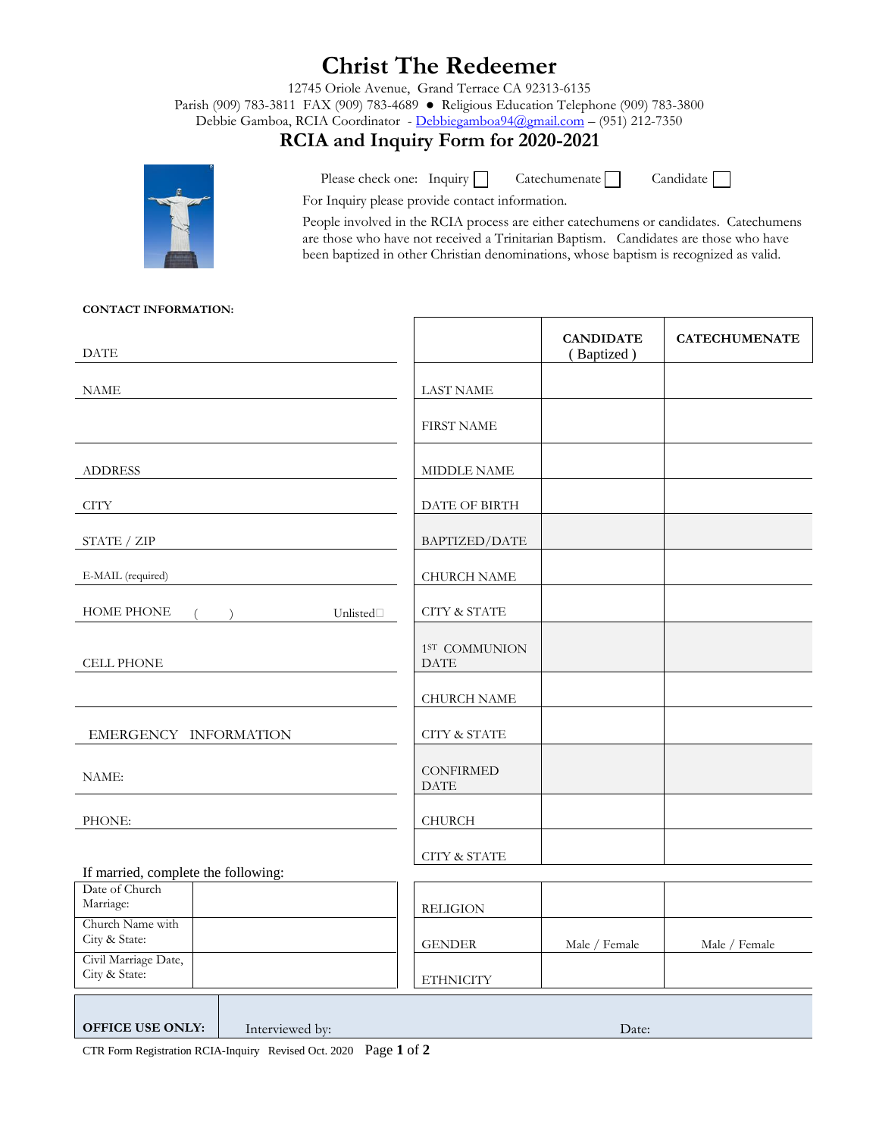# **Christ The Redeemer**

12745 Oriole Avenue, Grand Terrace CA 92313-6135

Parish (909) 783-3811 FAX (909) 783-4689 ● Religious Education Telephone (909) 783-3800

Debbie Gamboa, RCIA Coordinator - [Debbiegamboa94@gmail.com](mailto:Debbiegamboa94@gmail.com) – (951) 212-7350

### **RCIA and Inquiry Form for 2020-2021**



Please check one: Inquiry  $\Box$  Catechumenate  $\Box$ 

Candidate

For Inquiry please provide contact information.

People involved in the RCIA process are either catechumens or candidates. Catechumens are those who have not received a Trinitarian Baptism. Candidates are those who have been baptized in other Christian denominations, whose baptism is recognized as valid.

#### **CONTACT INFORMATION:**

| <b>DATE</b>                                           |                                          | <b>CANDIDATE</b><br>(Baptized) | <b>CATECHUMENATE</b> |
|-------------------------------------------------------|------------------------------------------|--------------------------------|----------------------|
| <b>NAME</b>                                           | <b>LAST NAME</b>                         |                                |                      |
|                                                       | <b>FIRST NAME</b>                        |                                |                      |
| <b>ADDRESS</b>                                        | MIDDLE NAME                              |                                |                      |
| <b>CITY</b>                                           | DATE OF BIRTH                            |                                |                      |
| STATE / ZIP                                           | BAPTIZED/DATE                            |                                |                      |
| E-MAIL (required)                                     | <b>CHURCH NAME</b>                       |                                |                      |
| <b>HOME PHONE</b><br>Unlisted $\Box$                  | <b>CITY &amp; STATE</b>                  |                                |                      |
| <b>CELL PHONE</b>                                     | 1 <sup>ST</sup> COMMUNION<br><b>DATE</b> |                                |                      |
|                                                       | <b>CHURCH NAME</b>                       |                                |                      |
| EMERGENCY INFORMATION                                 | <b>CITY &amp; STATE</b>                  |                                |                      |
| NAME:                                                 | <b>CONFIRMED</b><br><b>DATE</b>          |                                |                      |
| PHONE:                                                | CHURCH                                   |                                |                      |
|                                                       | <b>CITY &amp; STATE</b>                  |                                |                      |
| If married, complete the following:<br>Date of Church |                                          |                                |                      |
| Marriage:                                             | <b>RELIGION</b>                          |                                |                      |
| Church Name with<br>City & State:                     | <b>GENDER</b>                            | Male / Female                  | Male / Female        |
| Civil Marriage Date,<br>City & State:                 | <b>ETHNICITY</b>                         |                                |                      |
|                                                       |                                          |                                |                      |

**OFFICE USE ONLY:** Interviewed by: Date:

CTR Form Registration RCIA-Inquiry Revised Oct. 2020 Page **1** of **2**